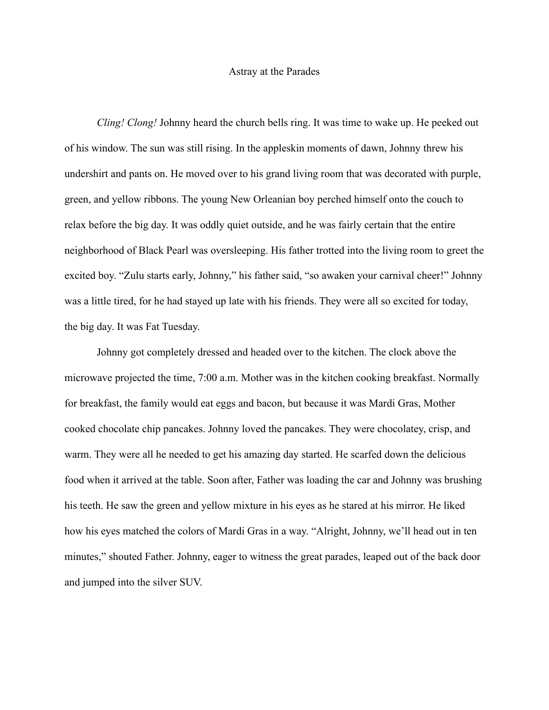## Astray at the Parades

*Cling! Clong!* Johnny heard the church bells ring. It was time to wake up. He peeked out of his window. The sun was still rising. In the appleskin moments of dawn, Johnny threw his undershirt and pants on. He moved over to his grand living room that was decorated with purple, green, and yellow ribbons. The young New Orleanian boy perched himself onto the couch to relax before the big day. It was oddly quiet outside, and he was fairly certain that the entire neighborhood of Black Pearl was oversleeping. His father trotted into the living room to greet the excited boy. "Zulu starts early, Johnny," his father said, "so awaken your carnival cheer!" Johnny was a little tired, for he had stayed up late with his friends. They were all so excited for today, the big day. It was Fat Tuesday.

Johnny got completely dressed and headed over to the kitchen. The clock above the microwave projected the time, 7:00 a.m. Mother was in the kitchen cooking breakfast. Normally for breakfast, the family would eat eggs and bacon, but because it was Mardi Gras, Mother cooked chocolate chip pancakes. Johnny loved the pancakes. They were chocolatey, crisp, and warm. They were all he needed to get his amazing day started. He scarfed down the delicious food when it arrived at the table. Soon after, Father was loading the car and Johnny was brushing his teeth. He saw the green and yellow mixture in his eyes as he stared at his mirror. He liked how his eyes matched the colors of Mardi Gras in a way. "Alright, Johnny, we'll head out in ten minutes," shouted Father. Johnny, eager to witness the great parades, leaped out of the back door and jumped into the silver SUV.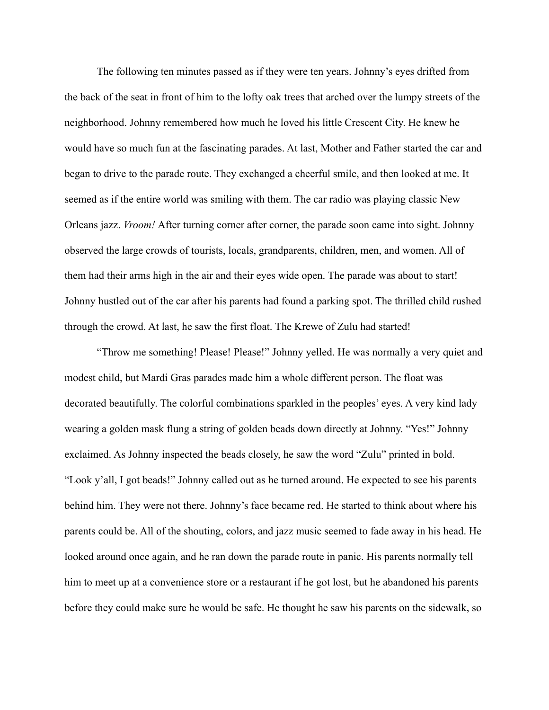The following ten minutes passed as if they were ten years. Johnny's eyes drifted from the back of the seat in front of him to the lofty oak trees that arched over the lumpy streets of the neighborhood. Johnny remembered how much he loved his little Crescent City. He knew he would have so much fun at the fascinating parades. At last, Mother and Father started the car and began to drive to the parade route. They exchanged a cheerful smile, and then looked at me. It seemed as if the entire world was smiling with them. The car radio was playing classic New Orleans jazz. *Vroom!* After turning corner after corner, the parade soon came into sight. Johnny observed the large crowds of tourists, locals, grandparents, children, men, and women. All of them had their arms high in the air and their eyes wide open. The parade was about to start! Johnny hustled out of the car after his parents had found a parking spot. The thrilled child rushed through the crowd. At last, he saw the first float. The Krewe of Zulu had started!

"Throw me something! Please! Please!" Johnny yelled. He was normally a very quiet and modest child, but Mardi Gras parades made him a whole different person. The float was decorated beautifully. The colorful combinations sparkled in the peoples' eyes. A very kind lady wearing a golden mask flung a string of golden beads down directly at Johnny. "Yes!" Johnny exclaimed. As Johnny inspected the beads closely, he saw the word "Zulu" printed in bold. "Look y'all, I got beads!" Johnny called out as he turned around. He expected to see his parents behind him. They were not there. Johnny's face became red. He started to think about where his parents could be. All of the shouting, colors, and jazz music seemed to fade away in his head. He looked around once again, and he ran down the parade route in panic. His parents normally tell him to meet up at a convenience store or a restaurant if he got lost, but he abandoned his parents before they could make sure he would be safe. He thought he saw his parents on the sidewalk, so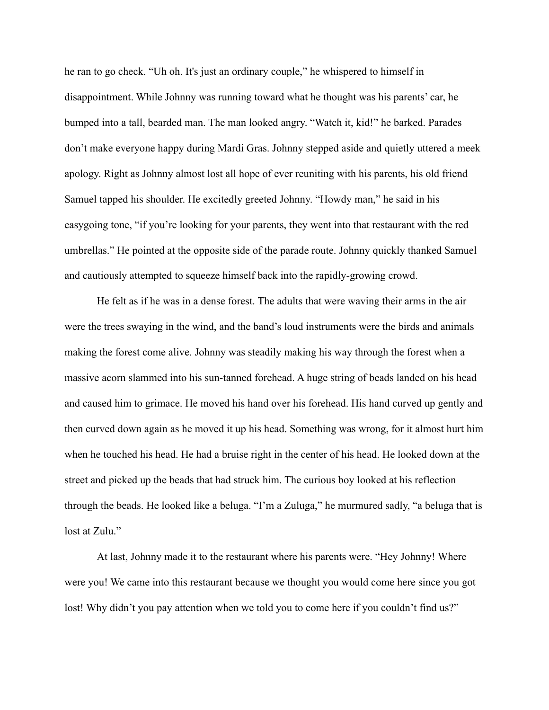he ran to go check. "Uh oh. It's just an ordinary couple," he whispered to himself in disappointment. While Johnny was running toward what he thought was his parents' car, he bumped into a tall, bearded man. The man looked angry. "Watch it, kid!" he barked. Parades don't make everyone happy during Mardi Gras. Johnny stepped aside and quietly uttered a meek apology. Right as Johnny almost lost all hope of ever reuniting with his parents, his old friend Samuel tapped his shoulder. He excitedly greeted Johnny. "Howdy man," he said in his easygoing tone, "if you're looking for your parents, they went into that restaurant with the red umbrellas." He pointed at the opposite side of the parade route. Johnny quickly thanked Samuel and cautiously attempted to squeeze himself back into the rapidly-growing crowd.

He felt as if he was in a dense forest. The adults that were waving their arms in the air were the trees swaying in the wind, and the band's loud instruments were the birds and animals making the forest come alive. Johnny was steadily making his way through the forest when a massive acorn slammed into his sun-tanned forehead. A huge string of beads landed on his head and caused him to grimace. He moved his hand over his forehead. His hand curved up gently and then curved down again as he moved it up his head. Something was wrong, for it almost hurt him when he touched his head. He had a bruise right in the center of his head. He looked down at the street and picked up the beads that had struck him. The curious boy looked at his reflection through the beads. He looked like a beluga. "I'm a Zuluga," he murmured sadly, "a beluga that is lost at Zulu."

At last, Johnny made it to the restaurant where his parents were. "Hey Johnny! Where were you! We came into this restaurant because we thought you would come here since you got lost! Why didn't you pay attention when we told you to come here if you couldn't find us?"